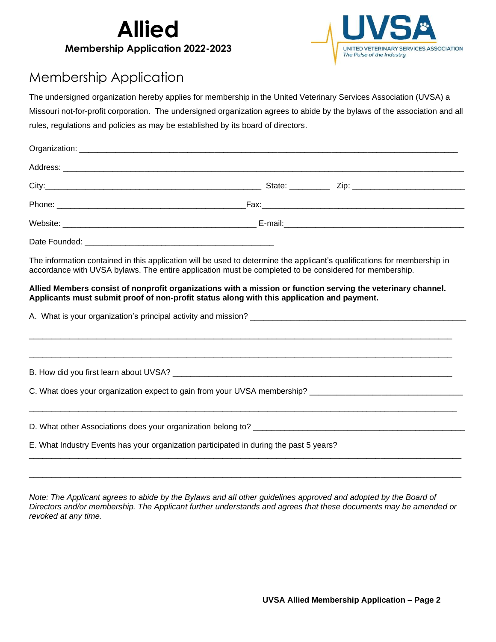



## Membership Application

The undersigned organization hereby applies for membership in the United Veterinary Services Association (UVSA) a Missouri not-for-profit corporation. The undersigned organization agrees to abide by the bylaws of the association and all rules, regulations and policies as may be established by its board of directors.

The information contained in this application will be used to determine the applicant's qualifications for membership in accordance with UVSA bylaws. The entire application must be completed to be considered for membership.

## **Allied Members consist of nonprofit organizations with a mission or function serving the veterinary channel. Applicants must submit proof of non-profit status along with this application and payment.**

| A. What is your organization's principal activity and mission?                         |  |
|----------------------------------------------------------------------------------------|--|
|                                                                                        |  |
| C. What does your organization expect to gain from your UVSA membership?               |  |
|                                                                                        |  |
| E. What Industry Events has your organization participated in during the past 5 years? |  |

*Note: The Applicant agrees to abide by the Bylaws and all other guidelines approved and adopted by the Board of Directors and/or membership. The Applicant further understands and agrees that these documents may be amended or revoked at any time.*